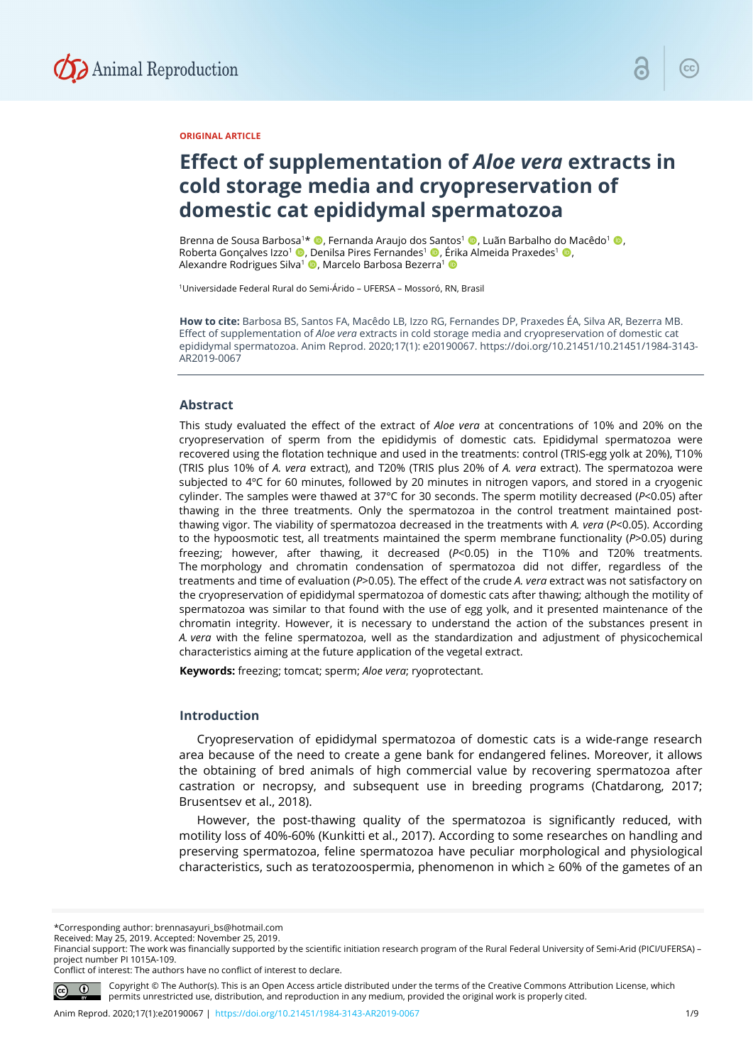

## **ORIGINAL ARTICLE**

# **Effect of supplementation of** *Aloe vera* **extracts in cold storage media and cryopreservation of domestic cat epididymal spermatozoa**

Brenna de Sousa Barbosa<sup>1</sup>\* ©, Fernanda Araujo dos Santos<sup>1</sup> ©, Luãn Barbalho do Macêdo<sup>1</sup> ©, Roberta Gonçalves Izzo<sup>1</sup> (D, Denilsa Pires Fernandes<sup>1</sup> (D, Érika Almeida Praxedes<sup>1</sup> (D, Alexandre Rodrigues Silva<sup>1</sup> (D, Marcelo Barbosa Bezerra<sup>1</sup> (D

1Universidade Federal Rural do Semi-Árido – UFERSA – Mossoró, RN, Brasil

**How to cite:** Barbosa BS, Santos FA, Macêdo LB, Izzo RG, Fernandes DP, Praxedes ÉA, Silva AR, Bezerra MB. Effect of supplementation of *Aloe vera* extracts in cold storage media and cryopreservation of domestic cat epididymal spermatozoa. Anim Reprod. 2020;17(1): e20190067. https://doi.org/10.21451/10.21451/1984-3143- AR2019-0067

### **Abstract**

This study evaluated the effect of the extract of *Aloe vera* at concentrations of 10% and 20% on the cryopreservation of sperm from the epididymis of domestic cats. Epididymal spermatozoa were recovered using the flotation technique and used in the treatments: control (TRIS-egg yolk at 20%), T10% (TRIS plus 10% of *A. vera* extract), and T20% (TRIS plus 20% of *A. vera* extract). The spermatozoa were subjected to 4ºC for 60 minutes, followed by 20 minutes in nitrogen vapors, and stored in a cryogenic cylinder. The samples were thawed at 37°C for 30 seconds. The sperm motility decreased (*P*<0.05) after thawing in the three treatments. Only the spermatozoa in the control treatment maintained postthawing vigor. The viability of spermatozoa decreased in the treatments with *A. vera* (*P*<0.05). According to the hypoosmotic test, all treatments maintained the sperm membrane functionality (*P*>0.05) during freezing; however, after thawing, it decreased (*P*<0.05) in the T10% and T20% treatments. The morphology and chromatin condensation of spermatozoa did not differ, regardless of the treatments and time of evaluation (*P*>0.05). The effect of the crude *A. vera* extract was not satisfactory on the cryopreservation of epididymal spermatozoa of domestic cats after thawing; although the motility of spermatozoa was similar to that found with the use of egg yolk, and it presented maintenance of the chromatin integrity. However, it is necessary to understand the action of the substances present in *A. vera* with the feline spermatozoa, well as the standardization and adjustment of physicochemical characteristics aiming at the future application of the vegetal extract.

**Keywords:** freezing; tomcat; sperm; *Aloe vera*; ryoprotectant.

## **Introduction**

Cryopreservation of epididymal spermatozoa of domestic cats is a wide-range research area because of the need to create a gene bank for endangered felines. Moreover, it allows the obtaining of bred animals of high commercial value by recovering spermatozoa after castration or necropsy, and subsequent use in breeding programs (Chatdarong, 2017; Brusentsev et al., 2018).

However, the post-thawing quality of the spermatozoa is significantly reduced, with motility loss of 40%-60% (Kunkitti et al., 2017). According to some researches on handling and preserving spermatozoa, feline spermatozoa have peculiar morphological and physiological characteristics, such as teratozoospermia, phenomenon in which ≥ 60% of the gametes of an

\*Corresponding author: brennasayuri\_bs@hotmail.com

Conflict of interest: The authors have no conflict of interest to declare.



Copyright © The Author(s). This is an Open Access article distributed under the terms of the Creative Commons Attribution License, which permits unrestricted use, distribution, and reproduction in any medium, provided the original work is properly cited.

Received: May 25, 2019. Accepted: November 25, 2019. Financial support: The work was financially supported by the scientific initiation research program of the Rural Federal University of Semi-Arid (PICI/UFERSA) – project number PI 1015A-109.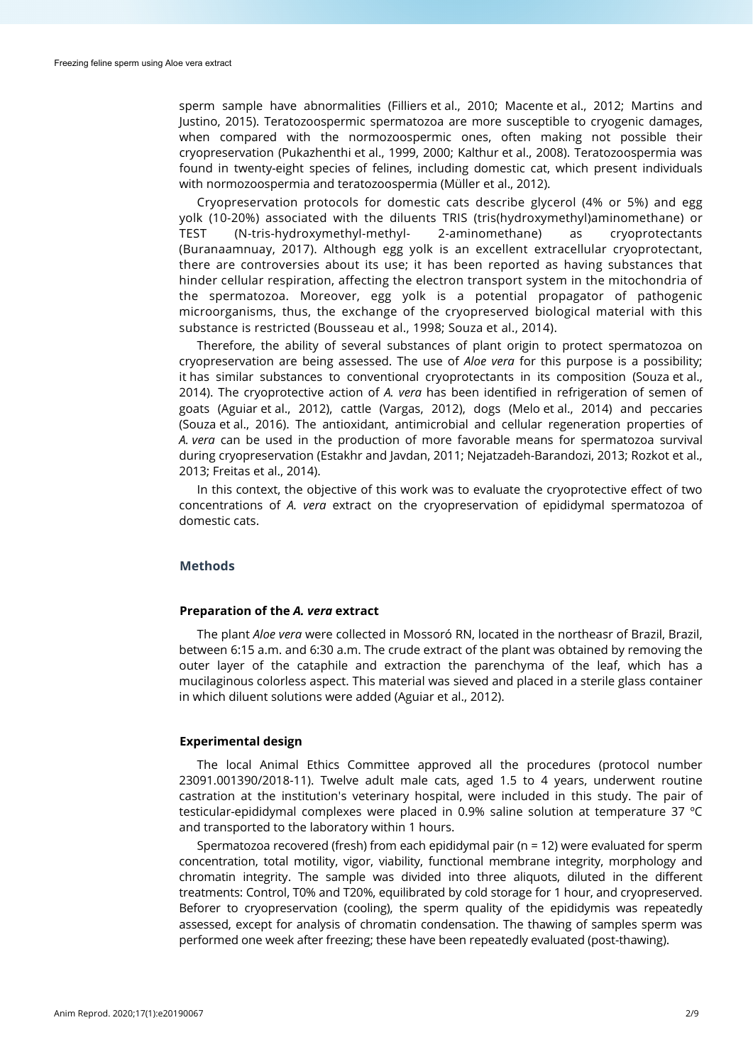sperm sample have abnormalities (Filliers et al., 2010; Macente et al., 2012; Martins and Justino, 2015). Teratozoospermic spermatozoa are more susceptible to cryogenic damages, when compared with the normozoospermic ones, often making not possible their cryopreservation (Pukazhenthi et al., 1999, 2000; Kalthur et al., 2008). Teratozoospermia was found in twenty-eight species of felines, including domestic cat, which present individuals with normozoospermia and teratozoospermia (Müller et al., 2012).

Cryopreservation protocols for domestic cats describe glycerol (4% or 5%) and egg yolk (10-20%) associated with the diluents TRIS (tris(hydroxymethyl)aminomethane) or TEST (N-tris-hydroxymethyl-methyl- 2-aminomethane) as cryoprotectants (Buranaamnuay, 2017). Although egg yolk is an excellent extracellular cryoprotectant, there are controversies about its use; it has been reported as having substances that hinder cellular respiration, affecting the electron transport system in the mitochondria of the spermatozoa. Moreover, egg yolk is a potential propagator of pathogenic microorganisms, thus, the exchange of the cryopreserved biological material with this substance is restricted (Bousseau et al., 1998; Souza et al., 2014).

Therefore, the ability of several substances of plant origin to protect spermatozoa on cryopreservation are being assessed. The use of *Aloe vera* for this purpose is a possibility; it has similar substances to conventional cryoprotectants in its composition (Souza et al., 2014). The cryoprotective action of *A. vera* has been identified in refrigeration of semen of goats (Aguiar et al., 2012), cattle (Vargas, 2012), dogs (Melo et al., 2014) and peccaries (Souza et al., 2016). The antioxidant, antimicrobial and cellular regeneration properties of *A. vera* can be used in the production of more favorable means for spermatozoa survival during cryopreservation (Estakhr and Javdan, 2011; Nejatzadeh-Barandozi, 2013; Rozkot et al., 2013; Freitas et al., 2014).

In this context, the objective of this work was to evaluate the cryoprotective effect of two concentrations of *A. vera* extract on the cryopreservation of epididymal spermatozoa of domestic cats.

## **Methods**

#### **Preparation of the** *A. vera* **extract**

The plant *Aloe vera* were collected in Mossoró RN, located in the northeasr of Brazil, Brazil, between 6:15 a.m. and 6:30 a.m. The crude extract of the plant was obtained by removing the outer layer of the cataphile and extraction the parenchyma of the leaf, which has a mucilaginous colorless aspect. This material was sieved and placed in a sterile glass container in which diluent solutions were added (Aguiar et al., 2012).

## **Experimental design**

The local Animal Ethics Committee approved all the procedures (protocol number 23091.001390/2018-11). Twelve adult male cats, aged 1.5 to 4 years, underwent routine castration at the institution's veterinary hospital, were included in this study. The pair of testicular-epididymal complexes were placed in 0.9% saline solution at temperature 37 ºC and transported to the laboratory within 1 hours.

Spermatozoa recovered (fresh) from each epididymal pair (n = 12) were evaluated for sperm concentration, total motility, vigor, viability, functional membrane integrity, morphology and chromatin integrity. The sample was divided into three aliquots, diluted in the different treatments: Control, T0% and T20%, equilibrated by cold storage for 1 hour, and cryopreserved. Beforer to cryopreservation (cooling), the sperm quality of the epididymis was repeatedly assessed, except for analysis of chromatin condensation. The thawing of samples sperm was performed one week after freezing; these have been repeatedly evaluated (post-thawing).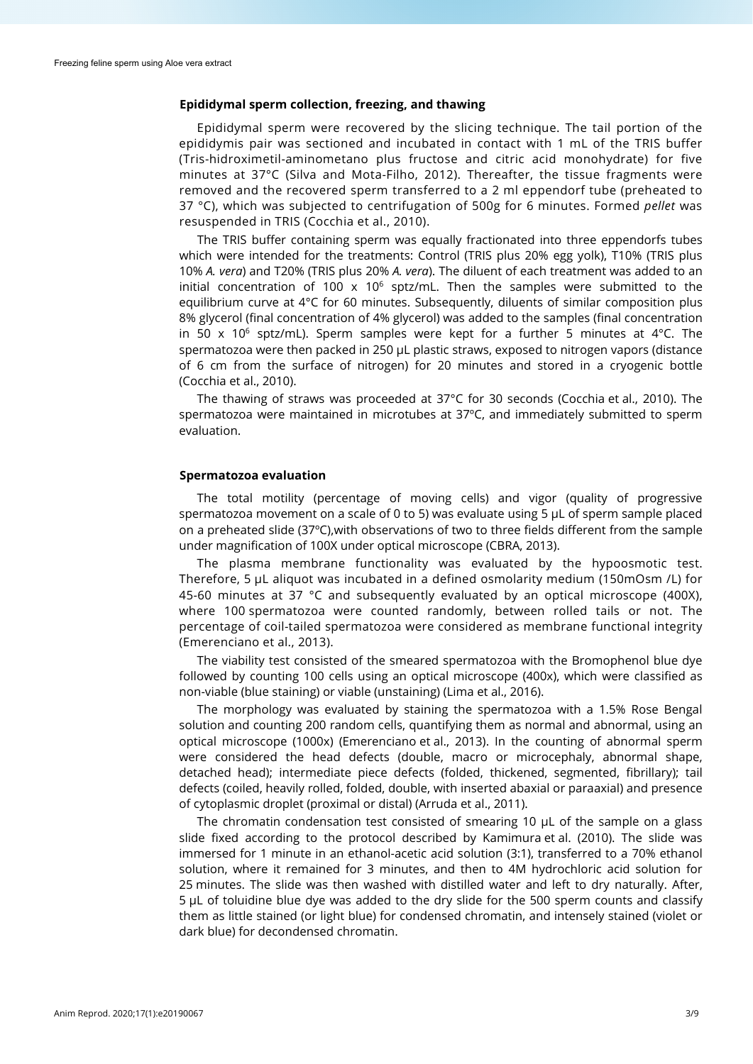#### **Epididymal sperm collection, freezing, and thawing**

Epididymal sperm were recovered by the slicing technique. The tail portion of the epididymis pair was sectioned and incubated in contact with 1 mL of the TRIS buffer (Tris-hidroximetil-aminometano plus fructose and citric acid monohydrate) for five minutes at 37°C (Silva and Mota-Filho, 2012). Thereafter, the tissue fragments were removed and the recovered sperm transferred to a 2 ml eppendorf tube (preheated to 37 °C), which was subjected to centrifugation of 500g for 6 minutes. Formed *pellet* was resuspended in TRIS (Cocchia et al., 2010).

The TRIS buffer containing sperm was equally fractionated into three eppendorfs tubes which were intended for the treatments: Control (TRIS plus 20% egg yolk), T10% (TRIS plus 10% *A. vera*) and T20% (TRIS plus 20% *A. vera*). The diluent of each treatment was added to an initial concentration of 100  $\times$  10<sup>6</sup> sptz/mL. Then the samples were submitted to the equilibrium curve at 4°C for 60 minutes. Subsequently, diluents of similar composition plus 8% glycerol (final concentration of 4% glycerol) was added to the samples (final concentration in 50 x 10<sup>6</sup> sptz/mL). Sperm samples were kept for a further 5 minutes at 4 °C. The spermatozoa were then packed in 250 μL plastic straws, exposed to nitrogen vapors (distance of 6 cm from the surface of nitrogen) for 20 minutes and stored in a cryogenic bottle (Cocchia et al., 2010).

The thawing of straws was proceeded at 37°C for 30 seconds (Cocchia et al., 2010). The spermatozoa were maintained in microtubes at 37ºC, and immediately submitted to sperm evaluation.

## **Spermatozoa evaluation**

The total motility (percentage of moving cells) and vigor (quality of progressive spermatozoa movement on a scale of 0 to 5) was evaluate using 5 μL of sperm sample placed on a preheated slide (37ºC),with observations of two to three fields different from the sample under magnification of 100X under optical microscope (CBRA, 2013).

The plasma membrane functionality was evaluated by the hypoosmotic test. Therefore, 5 μL aliquot was incubated in a defined osmolarity medium (150mOsm /L) for 45-60 minutes at 37 °C and subsequently evaluated by an optical microscope (400X), where 100 spermatozoa were counted randomly, between rolled tails or not. The percentage of coil-tailed spermatozoa were considered as membrane functional integrity (Emerenciano et al., 2013).

The viability test consisted of the smeared spermatozoa with the Bromophenol blue dye followed by counting 100 cells using an optical microscope (400x), which were classified as non-viable (blue staining) or viable (unstaining) (Lima et al., 2016).

The morphology was evaluated by staining the spermatozoa with a 1.5% Rose Bengal solution and counting 200 random cells, quantifying them as normal and abnormal, using an optical microscope (1000x) (Emerenciano et al., 2013). In the counting of abnormal sperm were considered the head defects (double, macro or microcephaly, abnormal shape, detached head); intermediate piece defects (folded, thickened, segmented, fibrillary); tail defects (coiled, heavily rolled, folded, double, with inserted abaxial or paraaxial) and presence of cytoplasmic droplet (proximal or distal) (Arruda et al., 2011).

The chromatin condensation test consisted of smearing 10 μL of the sample on a glass slide fixed according to the protocol described by Kamimura et al. (2010). The slide was immersed for 1 minute in an ethanol-acetic acid solution (3:1), transferred to a 70% ethanol solution, where it remained for 3 minutes, and then to 4M hydrochloric acid solution for 25 minutes. The slide was then washed with distilled water and left to dry naturally. After, 5 μL of toluidine blue dye was added to the dry slide for the 500 sperm counts and classify them as little stained (or light blue) for condensed chromatin, and intensely stained (violet or dark blue) for decondensed chromatin.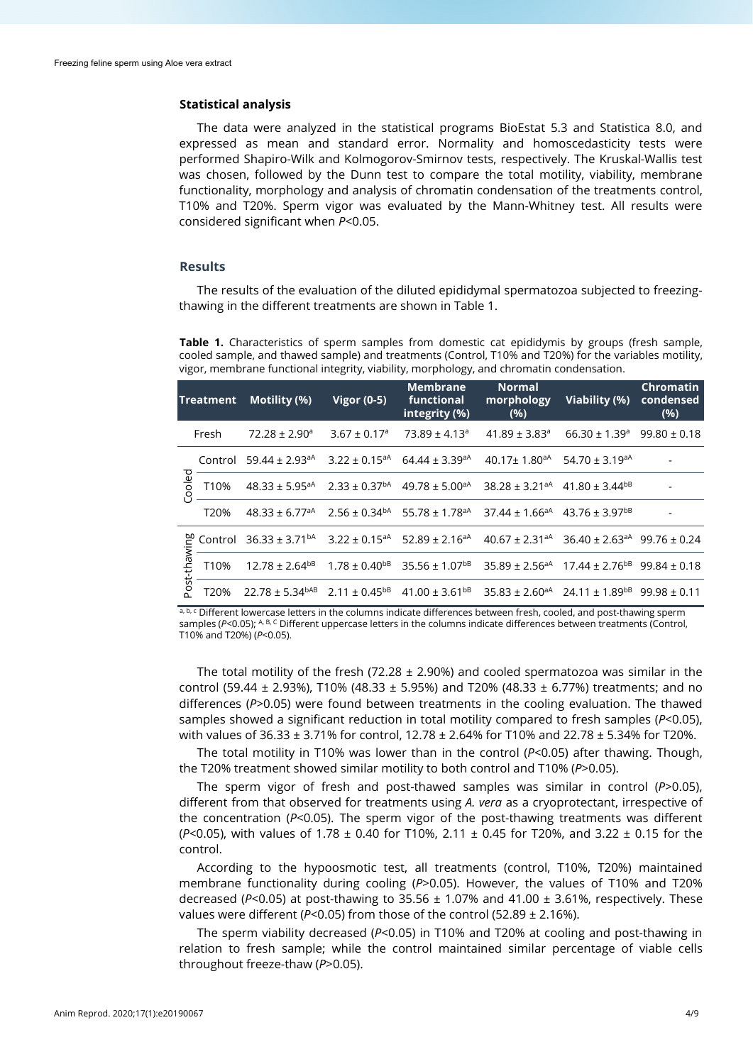## **Statistical analysis**

The data were analyzed in the statistical programs BioEstat 5.3 and Statistica 8.0, and expressed as mean and standard error. Normality and homoscedasticity tests were performed Shapiro-Wilk and Kolmogorov-Smirnov tests, respectively. The Kruskal-Wallis test was chosen, followed by the Dunn test to compare the total motility, viability, membrane functionality, morphology and analysis of chromatin condensation of the treatments control, T10% and T20%. Sperm vigor was evaluated by the Mann-Whitney test. All results were considered significant when *P*<0.05.

#### **Results**

The results of the evaluation of the diluted epididymal spermatozoa subjected to freezingthawing in the different treatments are shown in Table 1.

**Table 1.** Characteristics of sperm samples from domestic cat epididymis by groups (fresh sample, cooled sample, and thawed sample) and treatments (Control, T10% and T20%) for the variables motility, vigor, membrane functional integrity, viability, morphology, and chromatin condensation.

| Treatment         |         | Motility (%)                                                                                                                          | <b>Vigor (0-5)</b>           | <b>Membrane</b><br>functional<br>integrity (%)                                                                           | <b>Normal</b><br>(% )         | morphology Viability (%)                    | <b>Chromatin</b><br>condensed<br>(%) |
|-------------------|---------|---------------------------------------------------------------------------------------------------------------------------------------|------------------------------|--------------------------------------------------------------------------------------------------------------------------|-------------------------------|---------------------------------------------|--------------------------------------|
| Fresh             |         | $72.28 \pm 2.90$ <sup>a</sup>                                                                                                         | $3.67 \pm 0.17$ <sup>a</sup> | $73.89 \pm 4.13$ <sup>a</sup>                                                                                            | $41.89 \pm 3.83$ <sup>a</sup> | $66.30 \pm 1.39$ <sup>a</sup>               | $99.80 \pm 0.18$                     |
| Cooled            | Control | $59.44 \pm 2.93$ <sup>aA</sup> 3.22 ± 0.15 <sup>aA</sup> 64.44 ± 3.39 <sup>aA</sup>                                                   |                              |                                                                                                                          |                               | $40.17 \pm 1.80^{aA}$ 54.70 $\pm 3.19^{aA}$ |                                      |
|                   | T10%    |                                                                                                                                       |                              | $48.33 \pm 5.95^{aA}$ $2.33 \pm 0.37^{bA}$ $49.78 \pm 5.00^{aA}$ $38.28 \pm 3.21^{aA}$ $41.80 \pm 3.44^{bB}$             |                               |                                             |                                      |
|                   | T20%    |                                                                                                                                       |                              | $48.33 \pm 6.77^{aA}$ $2.56 \pm 0.34^{bA}$ $55.78 \pm 1.78^{aA}$ $37.44 \pm 1.66^{aA}$ $43.76 \pm 3.97^{bB}$             |                               |                                             |                                      |
| lwing<br>post-tha |         | Control $36.33 \pm 3.71^{bA}$ $3.22 \pm 0.15^{aA}$ $52.89 \pm 2.16^{aA}$ $40.67 \pm 2.31^{aA}$ $36.40 \pm 2.63^{aA}$ $99.76 \pm 0.24$ |                              |                                                                                                                          |                               |                                             |                                      |
|                   | T10%    |                                                                                                                                       |                              | $12.78 \pm 2.64^{b}$ $1.78 \pm 0.40^{b}$ $35.56 \pm 1.07^{b}$ $35.89 \pm 2.56^{a}$ $17.44 \pm 2.76^{b}$ $99.84 \pm 0.18$ |                               |                                             |                                      |
|                   | T20%    | $22.78 \pm 5.34^{bAB}$ $2.11 \pm 0.45^{bB}$ $41.00 \pm 3.61^{bB}$ $35.83 \pm 2.60^{aA}$ $24.11 \pm 1.89^{bB}$ $99.98 \pm 0.11$        |                              |                                                                                                                          |                               |                                             |                                      |

a, b, c Different lowercase letters in the columns indicate differences between fresh, cooled, and post-thawing sperm samples (*P<*0.05); A, B, C Different uppercase letters in the columns indicate differences between treatments (Control, T10% and T20%) (*P*<0.05).

The total motility of the fresh (72.28  $\pm$  2.90%) and cooled spermatozoa was similar in the control (59.44  $\pm$  2.93%), T10% (48.33  $\pm$  5.95%) and T20% (48.33  $\pm$  6.77%) treatments; and no differences (*P*>0.05) were found between treatments in the cooling evaluation. The thawed samples showed a significant reduction in total motility compared to fresh samples (*P*<0.05), with values of 36.33 ± 3.71% for control, 12.78 ± 2.64% for T10% and 22.78 ± 5.34% for T20%.

The total motility in T10% was lower than in the control (*P*<0.05) after thawing. Though, the T20% treatment showed similar motility to both control and T10% (*P*>0.05).

The sperm vigor of fresh and post-thawed samples was similar in control (*P*>0.05), different from that observed for treatments using *A. vera* as a cryoprotectant, irrespective of the concentration (*P*<0.05). The sperm vigor of the post-thawing treatments was different (*P*<0.05), with values of 1.78 ± 0.40 for T10%, 2.11 ± 0.45 for T20%, and 3.22 ± 0.15 for the control.

According to the hypoosmotic test, all treatments (control, T10%, T20%) maintained membrane functionality during cooling (*P*>0.05). However, the values of T10% and T20% decreased ( $P$ <0.05) at post-thawing to 35.56  $\pm$  1.07% and 41.00  $\pm$  3.61%, respectively. These values were different (*P*<0.05) from those of the control (52.89 ± 2.16%).

The sperm viability decreased (*P*<0.05) in T10% and T20% at cooling and post-thawing in relation to fresh sample; while the control maintained similar percentage of viable cells throughout freeze-thaw (*P*>0.05).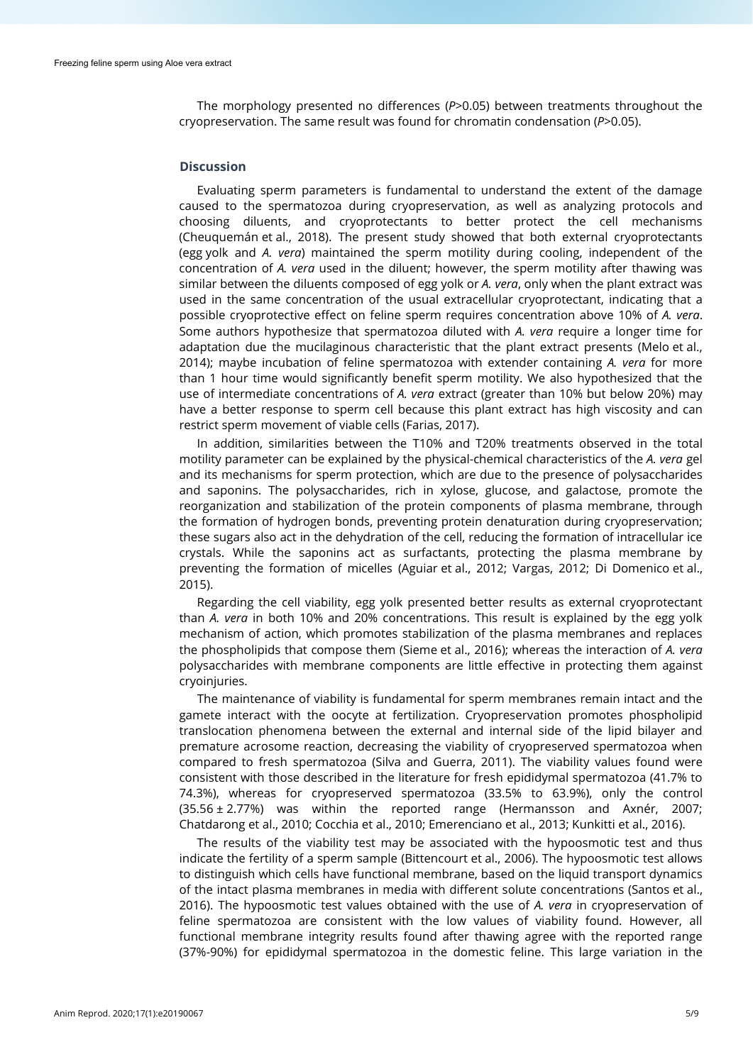The morphology presented no differences (*P*>0.05) between treatments throughout the cryopreservation. The same result was found for chromatin condensation (*P*>0.05).

## **Discussion**

Evaluating sperm parameters is fundamental to understand the extent of the damage caused to the spermatozoa during cryopreservation, as well as analyzing protocols and choosing diluents, and cryoprotectants to better protect the cell mechanisms (Cheuquemán et al., 2018). The present study showed that both external cryoprotectants (egg yolk and *A. vera*) maintained the sperm motility during cooling, independent of the concentration of *A. vera* used in the diluent; however, the sperm motility after thawing was similar between the diluents composed of egg yolk or *A. vera*, only when the plant extract was used in the same concentration of the usual extracellular cryoprotectant, indicating that a possible cryoprotective effect on feline sperm requires concentration above 10% of *A. vera*. Some authors hypothesize that spermatozoa diluted with *A. vera* require a longer time for adaptation due the mucilaginous characteristic that the plant extract presents (Melo et al., 2014); maybe incubation of feline spermatozoa with extender containing *A. vera* for more than 1 hour time would significantly benefit sperm motility. We also hypothesized that the use of intermediate concentrations of *A. vera* extract (greater than 10% but below 20%) may have a better response to sperm cell because this plant extract has high viscosity and can restrict sperm movement of viable cells (Farias, 2017).

In addition, similarities between the T10% and T20% treatments observed in the total motility parameter can be explained by the physical-chemical characteristics of the *A. vera* gel and its mechanisms for sperm protection, which are due to the presence of polysaccharides and saponins. The polysaccharides, rich in xylose, glucose, and galactose, promote the reorganization and stabilization of the protein components of plasma membrane, through the formation of hydrogen bonds, preventing protein denaturation during cryopreservation; these sugars also act in the dehydration of the cell, reducing the formation of intracellular ice crystals. While the saponins act as surfactants, protecting the plasma membrane by preventing the formation of micelles (Aguiar et al., 2012; Vargas, 2012; Di Domenico et al., 2015).

Regarding the cell viability, egg yolk presented better results as external cryoprotectant than *A. vera* in both 10% and 20% concentrations. This result is explained by the egg yolk mechanism of action, which promotes stabilization of the plasma membranes and replaces the phospholipids that compose them (Sieme et al., 2016); whereas the interaction of *A. vera* polysaccharides with membrane components are little effective in protecting them against cryoinjuries.

The maintenance of viability is fundamental for sperm membranes remain intact and the gamete interact with the oocyte at fertilization. Cryopreservation promotes phospholipid translocation phenomena between the external and internal side of the lipid bilayer and premature acrosome reaction, decreasing the viability of cryopreserved spermatozoa when compared to fresh spermatozoa (Silva and Guerra, 2011). The viability values found were consistent with those described in the literature for fresh epididymal spermatozoa (41.7% to 74.3%), whereas for cryopreserved spermatozoa (33.5% to 63.9%), only the control (35.56 ± 2.77%) was within the reported range (Hermansson and Axnér, 2007; Chatdarong et al., 2010; Cocchia et al., 2010; Emerenciano et al., 2013; Kunkitti et al., 2016).

The results of the viability test may be associated with the hypoosmotic test and thus indicate the fertility of a sperm sample (Bittencourt et al., 2006). The hypoosmotic test allows to distinguish which cells have functional membrane, based on the liquid transport dynamics of the intact plasma membranes in media with different solute concentrations (Santos et al., 2016). The hypoosmotic test values obtained with the use of *A. vera* in cryopreservation of feline spermatozoa are consistent with the low values of viability found. However, all functional membrane integrity results found after thawing agree with the reported range (37%-90%) for epididymal spermatozoa in the domestic feline. This large variation in the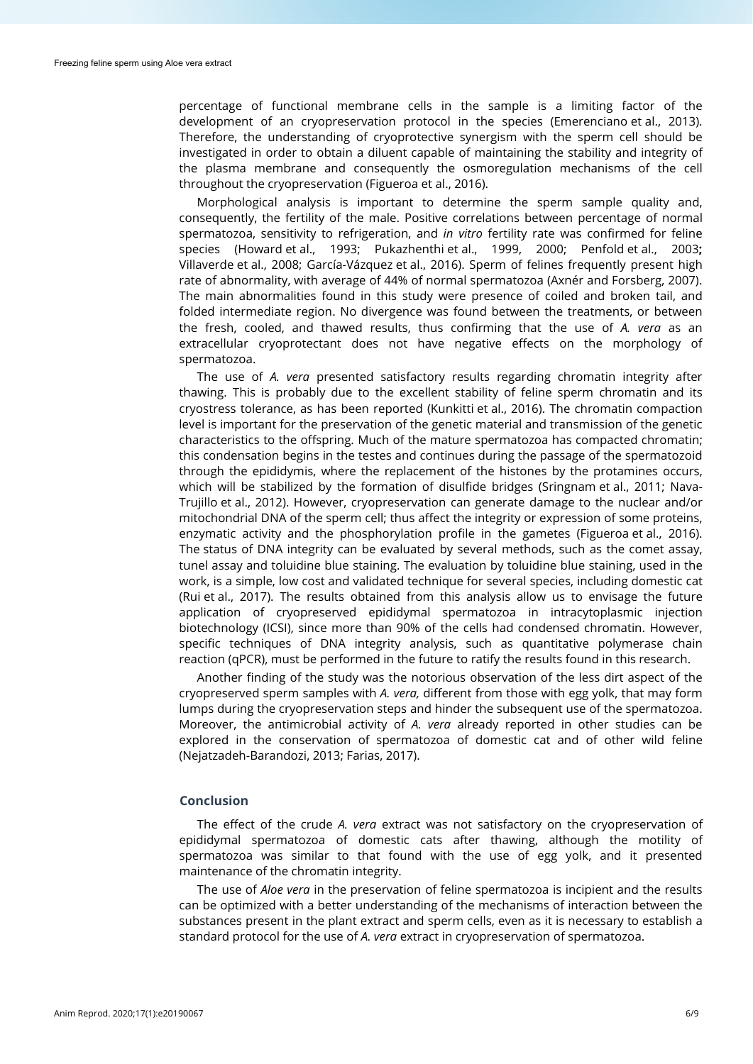percentage of functional membrane cells in the sample is a limiting factor of the development of an cryopreservation protocol in the species (Emerenciano et al., 2013). Therefore, the understanding of cryoprotective synergism with the sperm cell should be investigated in order to obtain a diluent capable of maintaining the stability and integrity of the plasma membrane and consequently the osmoregulation mechanisms of the cell throughout the cryopreservation (Figueroa et al., 2016).

Morphological analysis is important to determine the sperm sample quality and, consequently, the fertility of the male. Positive correlations between percentage of normal spermatozoa, sensitivity to refrigeration, and *in vitro* fertility rate was confirmed for feline species (Howard et al., 1993; Pukazhenthi et al., 1999, 2000; Penfold et al., 2003**;** Villaverde et al., 2008; García-Vázquez et al., 2016). Sperm of felines frequently present high rate of abnormality, with average of 44% of normal spermatozoa (Axnér and Forsberg, 2007). The main abnormalities found in this study were presence of coiled and broken tail, and folded intermediate region. No divergence was found between the treatments, or between the fresh, cooled, and thawed results, thus confirming that the use of *A. vera* as an extracellular cryoprotectant does not have negative effects on the morphology of spermatozoa.

The use of *A. vera* presented satisfactory results regarding chromatin integrity after thawing. This is probably due to the excellent stability of feline sperm chromatin and its cryostress tolerance, as has been reported (Kunkitti et al., 2016). The chromatin compaction level is important for the preservation of the genetic material and transmission of the genetic characteristics to the offspring. Much of the mature spermatozoa has compacted chromatin; this condensation begins in the testes and continues during the passage of the spermatozoid through the epididymis, where the replacement of the histones by the protamines occurs, which will be stabilized by the formation of disulfide bridges (Sringnam et al., 2011; Nava-Trujillo et al., 2012). However, cryopreservation can generate damage to the nuclear and/or mitochondrial DNA of the sperm cell; thus affect the integrity or expression of some proteins, enzymatic activity and the phosphorylation profile in the gametes (Figueroa et al., 2016). The status of DNA integrity can be evaluated by several methods, such as the comet assay, tunel assay and toluidine blue staining. The evaluation by toluidine blue staining, used in the work, is a simple, low cost and validated technique for several species, including domestic cat (Rui et al., 2017). The results obtained from this analysis allow us to envisage the future application of cryopreserved epididymal spermatozoa in intracytoplasmic injection biotechnology (ICSI), since more than 90% of the cells had condensed chromatin. However, specific techniques of DNA integrity analysis, such as quantitative polymerase chain reaction (qPCR), must be performed in the future to ratify the results found in this research.

Another finding of the study was the notorious observation of the less dirt aspect of the cryopreserved sperm samples with *A. vera,* different from those with egg yolk, that may form lumps during the cryopreservation steps and hinder the subsequent use of the spermatozoa. Moreover, the antimicrobial activity of *A. vera* already reported in other studies can be explored in the conservation of spermatozoa of domestic cat and of other wild feline (Nejatzadeh-Barandozi, 2013; Farias, 2017).

## **Conclusion**

The effect of the crude *A. vera* extract was not satisfactory on the cryopreservation of epididymal spermatozoa of domestic cats after thawing, although the motility of spermatozoa was similar to that found with the use of egg yolk, and it presented maintenance of the chromatin integrity.

The use of *Aloe vera* in the preservation of feline spermatozoa is incipient and the results can be optimized with a better understanding of the mechanisms of interaction between the substances present in the plant extract and sperm cells, even as it is necessary to establish a standard protocol for the use of *A. vera* extract in cryopreservation of spermatozoa.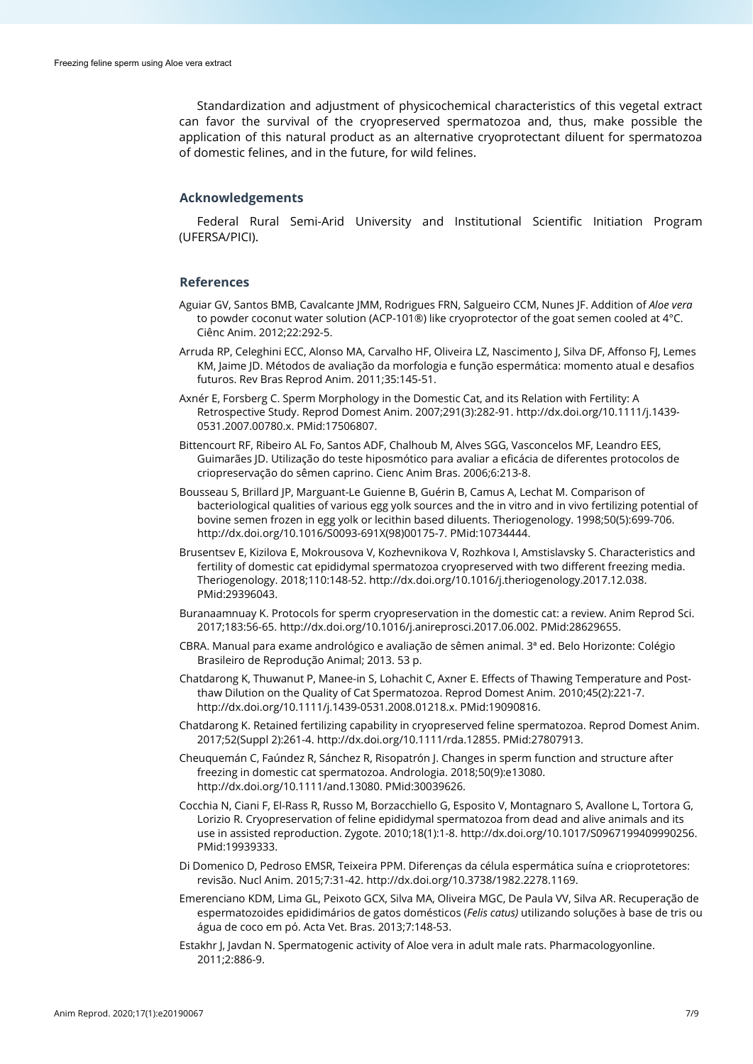Standardization and adjustment of physicochemical characteristics of this vegetal extract can favor the survival of the cryopreserved spermatozoa and, thus, make possible the application of this natural product as an alternative cryoprotectant diluent for spermatozoa of domestic felines, and in the future, for wild felines.

## **Acknowledgements**

Federal Rural Semi-Arid University and Institutional Scientific Initiation Program (UFERSA/PICI).

#### **References**

- Aguiar GV, Santos BMB, Cavalcante JMM, Rodrigues FRN, Salgueiro CCM, Nunes JF. Addition of *Aloe vera* to powder coconut water solution (ACP-101®) like cryoprotector of the goat semen cooled at 4°C. Ciênc Anim. 2012;22:292-5.
- Arruda RP, Celeghini ECC, Alonso MA, Carvalho HF, Oliveira LZ, Nascimento J, Silva DF, Affonso FJ, Lemes KM, Jaime JD. Métodos de avaliação da morfologia e função espermática: momento atual e desafios futuros. Rev Bras Reprod Anim. 2011;35:145-51.
- Axnér E, Forsberg C. Sperm Morphology in the Domestic Cat, and its Relation with Fertility: A Retrospective Study. Reprod Domest Anim. 2007;291(3):282-91[. http://dx.doi.org/10.1111/j.1439-](https://doi.org/10.1111/j.1439-0531.2007.00780.x) [0531.2007.00780.x.](https://doi.org/10.1111/j.1439-0531.2007.00780.x) [PMid:17506807.](https://www.ncbi.nlm.nih.gov/entrez/query.fcgi?cmd=Retrieve&db=PubMed&list_uids=17506807&dopt=Abstract)
- Bittencourt RF, Ribeiro AL Fo, Santos ADF, Chalhoub M, Alves SGG, Vasconcelos MF, Leandro EES, Guimarães JD. Utilização do teste hiposmótico para avaliar a eficácia de diferentes protocolos de criopreservação do sêmen caprino. Cienc Anim Bras. 2006;6:213-8.
- Bousseau S, Brillard JP, Marguant-Le Guienne B, Guérin B, Camus A, Lechat M. Comparison of bacteriological qualities of various egg yolk sources and the in vitro and in vivo fertilizing potential of bovine semen frozen in egg yolk or lecithin based diluents. Theriogenology. 1998;50(5):699-706. [http://dx.doi.org/10.1016/S0093-691X\(98\)00175-7.](https://doi.org/10.1016/S0093-691X(98)00175-7) [PMid:10734444.](https://www.ncbi.nlm.nih.gov/entrez/query.fcgi?cmd=Retrieve&db=PubMed&list_uids=10734444&dopt=Abstract)
- Brusentsev E, Kizilova E, Mokrousova V, Kozhevnikova V, Rozhkova I, Amstislavsky S. Characteristics and fertility of domestic cat epididymal spermatozoa cryopreserved with two different freezing media. Theriogenology. 2018;110:148-52. [http://dx.doi.org/10.1016/j.theriogenology.2017.12.038](https://doi.org/10.1016/j.theriogenology.2017.12.038)[.](https://www.ncbi.nlm.nih.gov/entrez/query.fcgi?cmd=Retrieve&db=PubMed&list_uids=29396043&dopt=Abstract) [PMid:29396043.](https://www.ncbi.nlm.nih.gov/entrez/query.fcgi?cmd=Retrieve&db=PubMed&list_uids=29396043&dopt=Abstract)
- Buranaamnuay K. Protocols for sperm cryopreservation in the domestic cat: a review. Anim Reprod Sci. 2017;183:56-65[. http://dx.doi.org/10.1016/j.anireprosci.2017.06.002.](https://doi.org/10.1016/j.anireprosci.2017.06.002) [PMid:28629655.](https://www.ncbi.nlm.nih.gov/entrez/query.fcgi?cmd=Retrieve&db=PubMed&list_uids=28629655&dopt=Abstract)
- CBRA. Manual para exame andrológico e avaliação de sêmen animal. 3ª ed. Belo Horizonte: Colégio Brasileiro de Reprodução Animal; 2013. 53 p.
- Chatdarong K, Thuwanut P, Manee-in S, Lohachit C, Axner E. Effects of Thawing Temperature and Post‐ thaw Dilution on the Quality of Cat Spermatozoa. Reprod Domest Anim. 2010;45(2):221-7. [http://dx.doi.org/10.1111/j.1439-0531.2008.01218.x.](https://doi.org/10.1111/j.1439-0531.2008.01218.x) [PMid:19090816.](https://www.ncbi.nlm.nih.gov/entrez/query.fcgi?cmd=Retrieve&db=PubMed&list_uids=19090816&dopt=Abstract)
- Chatdarong K. Retained fertilizing capability in cryopreserved feline spermatozoa. Reprod Domest Anim. 2017;52(Suppl 2):261-4. [http://dx.doi.org/10.1111/rda.12855.](https://doi.org/10.1111/rda.12855) [PMid:27807913.](https://www.ncbi.nlm.nih.gov/entrez/query.fcgi?cmd=Retrieve&db=PubMed&list_uids=27807913&dopt=Abstract)
- Cheuquemán C, Faúndez R, Sánchez R, Risopatrón J. Changes in sperm function and structure after freezing in domestic cat spermatozoa. Andrologia. 2018;50(9):e13080. [http://dx.doi.org/10.1111/and.13080.](https://doi.org/10.1111/and.13080) [PMid:30039626.](https://www.ncbi.nlm.nih.gov/entrez/query.fcgi?cmd=Retrieve&db=PubMed&list_uids=30039626&dopt=Abstract)
- Cocchia N, Ciani F, El-Rass R, Russo M, Borzacchiello G, Esposito V, Montagnaro S, Avallone L, Tortora G, Lorizio R. Cryopreservation of feline epididymal spermatozoa from dead and alive animals and its use in assisted reproduction. Zygote. 2010;18(1):1-8[. http://dx.doi.org/10.1017/S0967199409990256](https://doi.org/10.1017/S0967199409990256)[.](https://www.ncbi.nlm.nih.gov/entrez/query.fcgi?cmd=Retrieve&db=PubMed&list_uids=19939333&dopt=Abstract) [PMid:19939333.](https://www.ncbi.nlm.nih.gov/entrez/query.fcgi?cmd=Retrieve&db=PubMed&list_uids=19939333&dopt=Abstract)
- Di Domenico D, Pedroso EMSR, Teixeira PPM. Diferenças da célula espermática suína e crioprotetores: revisão. Nucl Anim. 2015;7:31-42[. http://dx.doi.org/10.3738/1982.2278.1169.](https://doi.org/10.3738/1982.2278.1169)
- Emerenciano KDM, Lima GL, Peixoto GCX, Silva MA, Oliveira MGC, De Paula VV, Silva AR. Recuperação de espermatozoides epididimários de gatos domésticos (*Felis catus)* utilizando soluções à base de tris ou água de coco em pó. Acta Vet. Bras. 2013;7:148-53.
- Estakhr J, Javdan N. Spermatogenic activity of Aloe vera in adult male rats. Pharmacologyonline. 2011;2:886-9.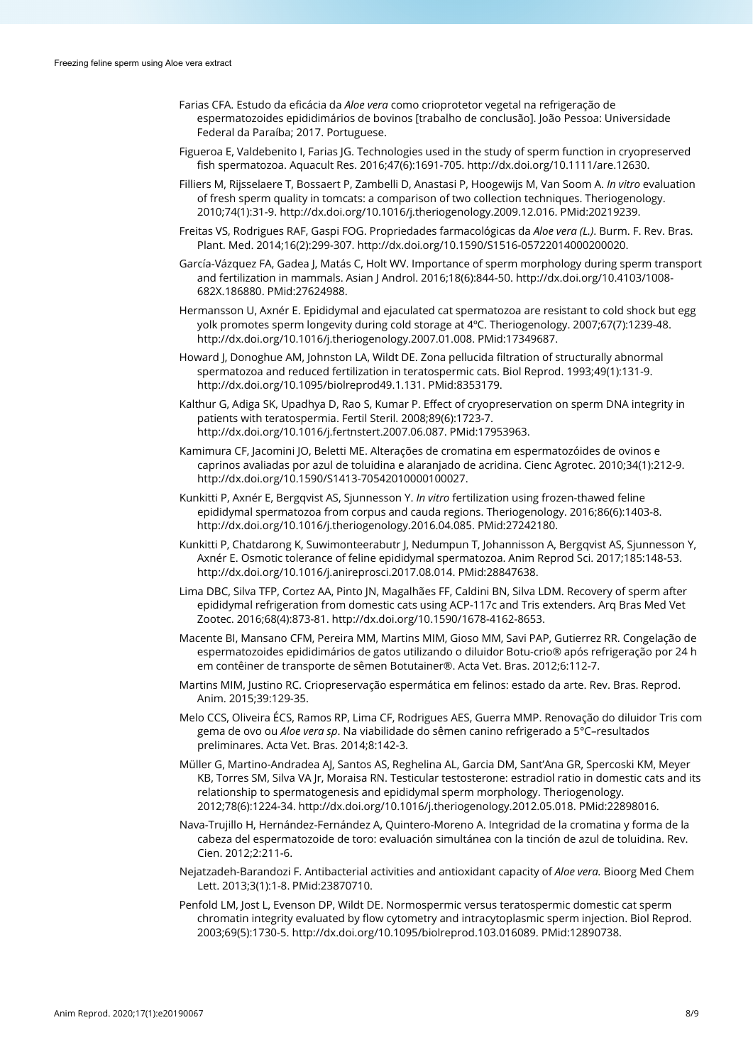- Farias CFA. Estudo da eficácia da *Aloe vera* como crioprotetor vegetal na refrigeração de espermatozoides epididimários de bovinos [trabalho de conclusão]. João Pessoa: Universidade Federal da Paraíba; 2017. Portuguese.
- Figueroa E, Valdebenito I, Farias JG. Technologies used in the study of sperm function in cryopreserved fish spermatozoa. Aquacult Res. 2016;47(6):1691-705[. http://dx.doi.org/10.1111/are.12630.](https://doi.org/10.1111/are.12630)
- Filliers M, Rijsselaere T, Bossaert P, Zambelli D, Anastasi P, Hoogewijs M, Van Soom A. *In vitro* evaluation of fresh sperm quality in tomcats: a comparison of two collection techniques. Theriogenology. 2010;74(1):31-9[. http://dx.doi.org/10.1016/j.theriogenology.2009.12.016.](https://doi.org/10.1016/j.theriogenology.2009.12.016) [PMid:20219239.](https://www.ncbi.nlm.nih.gov/entrez/query.fcgi?cmd=Retrieve&db=PubMed&list_uids=20219239&dopt=Abstract)
- Freitas VS, Rodrigues RAF, Gaspi FOG. Propriedades farmacológicas da *Aloe vera (L.)*. Burm. F. Rev. Bras. Plant. Med. 2014;16(2):299-307[. http://dx.doi.org/10.1590/S1516-05722014000200020.](https://doi.org/10.1590/S1516-05722014000200020)
- García-Vázquez FA, Gadea J, Matás C, Holt WV. Importance of sperm morphology during sperm transport and fertilization in mammals. Asian J Androl. 2016;18(6):844-50. [http://dx.doi.org/10.4103/1008-](https://doi.org/10.4103/1008-682X.186880) [682X.186880.](https://doi.org/10.4103/1008-682X.186880) [PMid:27624988.](https://www.ncbi.nlm.nih.gov/entrez/query.fcgi?cmd=Retrieve&db=PubMed&list_uids=27624988&dopt=Abstract)
- Hermansson U, Axnér E. Epididymal and ejaculated cat spermatozoa are resistant to cold shock but egg yolk promotes sperm longevity during cold storage at 4ºC. Theriogenology. 2007;67(7):1239-48. [http://dx.doi.org/10.1016/j.theriogenology.2007.01.008.](https://doi.org/10.1016/j.theriogenology.2007.01.008) [PMid:17349687.](https://www.ncbi.nlm.nih.gov/entrez/query.fcgi?cmd=Retrieve&db=PubMed&list_uids=17349687&dopt=Abstract)
- Howard J, Donoghue AM, Johnston LA, Wildt DE. Zona pellucida filtration of structurally abnormal spermatozoa and reduced fertilization in teratospermic cats. Biol Reprod. 1993;49(1):131-9. [http://dx.doi.org/10.1095/biolreprod49.1.131.](https://doi.org/10.1095/biolreprod49.1.131) [PMid:8353179.](https://www.ncbi.nlm.nih.gov/entrez/query.fcgi?cmd=Retrieve&db=PubMed&list_uids=8353179&dopt=Abstract)
- Kalthur G, Adiga SK, Upadhya D, Rao S, Kumar P. Effect of cryopreservation on sperm DNA integrity in patients with teratospermia. Fertil Steril. 2008;89(6):1723-7. [http://dx.doi.org/10.1016/j.fertnstert.2007.06.087.](https://doi.org/10.1016/j.fertnstert.2007.06.087) [PMid:17953963.](https://www.ncbi.nlm.nih.gov/entrez/query.fcgi?cmd=Retrieve&db=PubMed&list_uids=17953963&dopt=Abstract)
- Kamimura CF, Jacomini JO, Beletti ME. Alterações de cromatina em espermatozóides de ovinos e caprinos avaliadas por azul de toluidina e alaranjado de acridina. Cienc Agrotec. 2010;34(1):212-9. [http://dx.doi.org/10.1590/S1413-70542010000100027.](https://doi.org/10.1590/S1413-70542010000100027)
- Kunkitti P, Axnér E, Bergqvist AS, Sjunnesson Y. *In vitro* fertilization using frozen-thawed feline epididymal spermatozoa from corpus and cauda regions. Theriogenology. 2016;86(6):1403-8. [http://dx.doi.org/10.1016/j.theriogenology.2016.04.085.](https://doi.org/10.1016/j.theriogenology.2016.04.085) [PMid:27242180.](https://www.ncbi.nlm.nih.gov/entrez/query.fcgi?cmd=Retrieve&db=PubMed&list_uids=27242180&dopt=Abstract)
- Kunkitti P, Chatdarong K, Suwimonteerabutr J, Nedumpun T, Johannisson A, Bergqvist AS, Sjunnesson Y, Axnér E. Osmotic tolerance of feline epididymal spermatozoa. Anim Reprod Sci. 2017;185:148-53. [http://dx.doi.org/10.1016/j.anireprosci.2017.08.014.](https://doi.org/10.1016/j.anireprosci.2017.08.014) [PMid:28847638.](https://www.ncbi.nlm.nih.gov/entrez/query.fcgi?cmd=Retrieve&db=PubMed&list_uids=28847638&dopt=Abstract)
- Lima DBC, Silva TFP, Cortez AA, Pinto JN, Magalhães FF, Caldini BN, Silva LDM. Recovery of sperm after epididymal refrigeration from domestic cats using ACP-117c and Tris extenders. Arq Bras Med Vet Zootec. 2016;68(4):873-81[. http://dx.doi.org/10.1590/1678-4162-8653.](https://doi.org/10.1590/1678-4162-8653)
- Macente BI, Mansano CFM, Pereira MM, Martins MIM, Gioso MM, Savi PAP, Gutierrez RR. Congelação de espermatozoides epididimários de gatos utilizando o diluidor Botu-crio® após refrigeração por 24 h em contêiner de transporte de sêmen Botutainer®. Acta Vet. Bras. 2012;6:112-7.
- Martins MIM, Justino RC. Criopreservação espermática em felinos: estado da arte. Rev. Bras. Reprod. Anim. 2015;39:129-35.
- Melo CCS, Oliveira ÉCS, Ramos RP, Lima CF, Rodrigues AES, Guerra MMP. Renovação do diluidor Tris com gema de ovo ou *Aloe vera sp*. Na viabilidade do sêmen canino refrigerado a 5°C–resultados preliminares. Acta Vet. Bras. 2014;8:142-3.
- Müller G, Martino-Andradea AJ, Santos AS, Reghelina AL, Garcia DM, Sant'Ana GR, Spercoski KM, Meyer KB, Torres SM, Silva VA Jr, Moraisa RN. Testicular testosterone: estradiol ratio in domestic cats and its relationship to spermatogenesis and epididymal sperm morphology. Theriogenology. 2012;78(6):1224-34. [http://dx.doi.org/10.1016/j.theriogenology.2012.05.018.](https://doi.org/10.1016/j.theriogenology.2012.05.018) [PMid:22898016.](https://www.ncbi.nlm.nih.gov/entrez/query.fcgi?cmd=Retrieve&db=PubMed&list_uids=22898016&dopt=Abstract)
- Nava-Trujillo H, Hernández-Fernández A, Quintero-Moreno A. Integridad de la cromatina y forma de la cabeza del espermatozoide de toro: evaluación simultánea con la tinción de azul de toluidina. Rev. Cien. 2012;2:211-6.
- Nejatzadeh-Barandozi F. Antibacterial activities and antioxidant capacity of *Aloe vera.* Bioorg Med Chem Lett. 2013;3(1):1-8. [PMid:23870710.](https://www.ncbi.nlm.nih.gov/entrez/query.fcgi?cmd=Retrieve&db=PubMed&list_uids=23870710&dopt=Abstract)
- Penfold LM, Jost L, Evenson DP, Wildt DE. Normospermic versus teratospermic domestic cat sperm chromatin integrity evaluated by flow cytometry and intracytoplasmic sperm injection. Biol Reprod. 2003;69(5):1730-5. [http://dx.doi.org/10.1095/biolreprod.103.016089.](https://doi.org/10.1095/biolreprod.103.016089) [PMid:12890738.](https://www.ncbi.nlm.nih.gov/entrez/query.fcgi?cmd=Retrieve&db=PubMed&list_uids=12890738&dopt=Abstract)